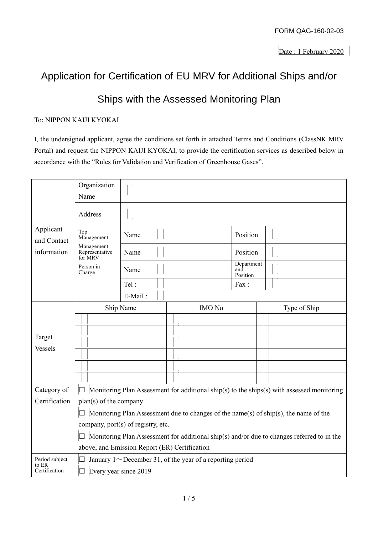# Application for Certification of EU MRV for Additional Ships and/or

## Ships with the Assessed Monitoring Plan

## To: NIPPON KAIJI KYOKAI

I, the undersigned applicant, agree the conditions set forth in attached Terms and Conditions (ClassNK MRV Portal) and request the NIPPON KAIJI KYOKAI, to provide the certification services as described below in accordance with the "Rules for Validation and Verification of Greenhouse Gases".

|                                         | Organization<br>Name                                                                                                                                        |         |  |                                                                 |  |                               |                                                                                            |  |
|-----------------------------------------|-------------------------------------------------------------------------------------------------------------------------------------------------------------|---------|--|-----------------------------------------------------------------|--|-------------------------------|--------------------------------------------------------------------------------------------|--|
| Applicant<br>and Contact<br>information | Address                                                                                                                                                     |         |  |                                                                 |  |                               |                                                                                            |  |
|                                         | Top<br>Management                                                                                                                                           | Name    |  |                                                                 |  | Position                      |                                                                                            |  |
|                                         | Management<br>Representative<br>for MRV                                                                                                                     | Name    |  |                                                                 |  | Position                      |                                                                                            |  |
|                                         | Person in<br>Charge                                                                                                                                         | Name    |  |                                                                 |  | Department<br>and<br>Position |                                                                                            |  |
|                                         |                                                                                                                                                             | Tel:    |  |                                                                 |  | Fax:                          |                                                                                            |  |
|                                         |                                                                                                                                                             | E-Mail: |  |                                                                 |  |                               |                                                                                            |  |
|                                         | Ship Name                                                                                                                                                   |         |  | <b>IMO</b> No                                                   |  |                               | Type of Ship                                                                               |  |
|                                         |                                                                                                                                                             |         |  |                                                                 |  |                               |                                                                                            |  |
|                                         |                                                                                                                                                             |         |  |                                                                 |  |                               |                                                                                            |  |
| Target                                  |                                                                                                                                                             |         |  |                                                                 |  |                               |                                                                                            |  |
| <b>Vessels</b>                          |                                                                                                                                                             |         |  |                                                                 |  |                               |                                                                                            |  |
|                                         |                                                                                                                                                             |         |  |                                                                 |  |                               |                                                                                            |  |
|                                         |                                                                                                                                                             |         |  |                                                                 |  |                               |                                                                                            |  |
| Category of                             | Monitoring Plan Assessment for additional ship(s) to the ships(s) with assessed monitoring                                                                  |         |  |                                                                 |  |                               |                                                                                            |  |
| Certification                           | plan(s) of the company<br>$\Box$ Monitoring Plan Assessment due to changes of the name(s) of ship(s), the name of the<br>company, port(s) of registry, etc. |         |  |                                                                 |  |                               |                                                                                            |  |
|                                         |                                                                                                                                                             |         |  |                                                                 |  |                               |                                                                                            |  |
|                                         |                                                                                                                                                             |         |  |                                                                 |  |                               |                                                                                            |  |
|                                         |                                                                                                                                                             |         |  |                                                                 |  |                               | Monitoring Plan Assessment for additional ship(s) and/or due to changes referred to in the |  |
|                                         | above, and Emission Report (ER) Certification                                                                                                               |         |  |                                                                 |  |                               |                                                                                            |  |
| Period subject                          | $\Box$                                                                                                                                                      |         |  | January $1 \sim$ December 31, of the year of a reporting period |  |                               |                                                                                            |  |
| to ER<br>Certification                  | Every year since 2019                                                                                                                                       |         |  |                                                                 |  |                               |                                                                                            |  |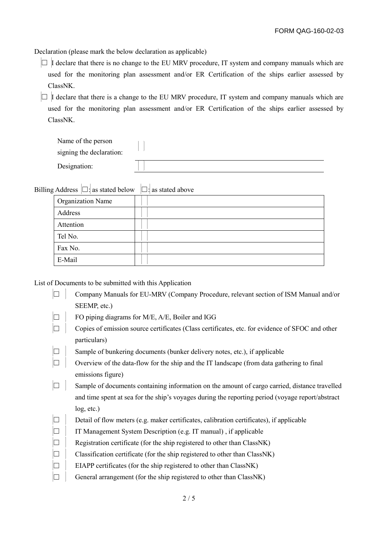Declaration (please mark the below declaration as applicable)

 $\Box$  I declare that there is no change to the EU MRV procedure, IT system and company manuals which are used for the monitoring plan assessment and/or ER Certification of the ships earlier assessed by ClassNK.

 $\Box$  I declare that there is a change to the EU MRV procedure, IT system and company manuals which are used for the monitoring plan assessment and/or ER Certification of the ships earlier assessed by ClassNK.

| Name of the person       |  |
|--------------------------|--|
| signing the declaration: |  |
| Designation:             |  |
|                          |  |

| Billing Address $\Box$ : as stated below $\Box$ : as stated above |  |
|-------------------------------------------------------------------|--|
| <b>Organization Name</b>                                          |  |
| Address                                                           |  |
| Attention                                                         |  |
| Tel No.                                                           |  |
| Fax No.                                                           |  |
| E-Mail                                                            |  |

List of Documents to be submitted with this Application

|        | Company Manuals for EU-MRV (Company Procedure, relevant section of ISM Manual and/or             |
|--------|--------------------------------------------------------------------------------------------------|
|        | SEEMP, etc.)                                                                                     |
| $\Box$ | FO piping diagrams for M/E, A/E, Boiler and IGG                                                  |
|        | Copies of emission source certificates (Class certificates, etc. for evidence of SFOC and other  |
|        | particulars)                                                                                     |
| $\Box$ | Sample of bunkering documents (bunker delivery notes, etc.), if applicable                       |
|        | Overview of the data-flow for the ship and the IT landscape (from data gathering to final        |
|        | emissions figure)                                                                                |
|        | Sample of documents containing information on the amount of cargo carried, distance travelled    |
|        | and time spent at sea for the ship's voyages during the reporting period (voyage report/abstract |
|        | log, etc.)                                                                                       |
| $\Box$ | Detail of flow meters (e.g. maker certificates, calibration certificates), if applicable         |
| $\Box$ | IT Management System Description (e.g. IT manual), if applicable                                 |
| $\Box$ | Registration certificate (for the ship registered to other than ClassNK)                         |
| $\Box$ | Classification certificate (for the ship registered to other than ClassNK)                       |
| $\Box$ | EIAPP certificates (for the ship registered to other than ClassNK)                               |
|        | General arrangement (for the ship registered to other than ClassNK)                              |
|        |                                                                                                  |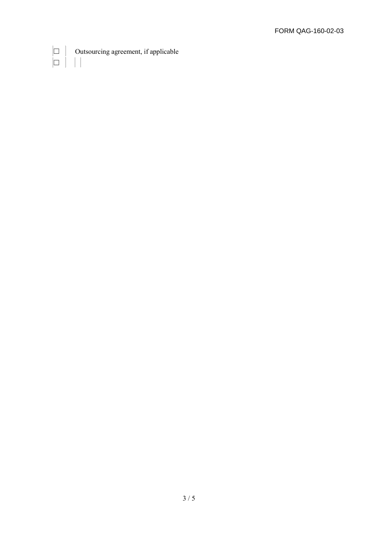Outsourcing agreement, if applicable  $\begin{bmatrix} \square & \square \\ \square & \square \end{bmatrix}$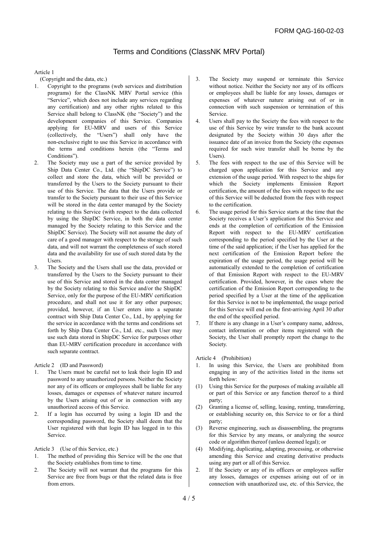### Terms and Conditions (ClassNK MRV Portal)

#### Article 1

(Copyright and the data, etc.)

- 1. Copyright to the programs (web services and distribution programs) for the ClassNK MRV Portal service (this "Service", which does not include any services regarding any certification) and any other rights related to this Service shall belong to ClassNK (the "Society") and the development companies of this Service. Companies applying for EU-MRV and users of this Service (collectively, the "Users") shall only have the non-exclusive right to use this Service in accordance with the terms and conditions herein (the "Terms and Conditions").
- 2. The Society may use a part of the service provided by Ship Data Center Co., Ltd. (the "ShipDC Service") to collect and store the data, which will be provided or transferred by the Users to the Society pursuant to their use of this Service. The data that the Users provide or transfer to the Society pursuant to their use of this Service will be stored in the data center managed by the Society relating to this Service (with respect to the data collected by using the ShipDC Service, in both the data center managed by the Society relating to this Service and the ShipDC Service). The Society will not assume the duty of care of a good manager with respect to the storage of such data, and will not warrant the completeness of such stored data and the availability for use of such stored data by the Users.
- 3. The Society and the Users shall use the data, provided or transferred by the Users to the Society pursuant to their use of this Service and stored in the data center managed by the Society relating to this Service and/or the ShipDC Service, only for the purpose of the EU-MRV certification procedure, and shall not use it for any other purposes; provided, however, if an User enters into a separate contract with Ship Data Center Co., Ltd., by applying for the service in accordance with the terms and conditions set forth by Ship Data Center Co., Ltd. etc., such User may use such data stored in ShipDC Service for purposes other than EU-MRV certification procedure in accordance with such separate contract.

Article 2 (ID and Password)

- 1. The Users must be careful not to leak their login ID and password to any unauthorized persons. Neither the Society nor any of its officers or employees shall be liable for any losses, damages or expenses of whatever nature incurred by the Users arising out of or in connection with any unauthorized access of this Service.
- 2. If a login has occurred by using a login ID and the corresponding password, the Society shall deem that the User registered with that login ID has logged in to this Service.

Article 3 (Use of this Service, etc.)

- 1. The method of providing this Service will be the one that the Society establishes from time to time.
- 2. The Society will not warrant that the programs for this Service are free from bugs or that the related data is free from errors.
- 3. The Society may suspend or terminate this Service without notice. Neither the Society nor any of its officers or employees shall be liable for any losses, damages or expenses of whatever nature arising out of or in connection with such suspension or termination of this Service.
- 4. Users shall pay to the Society the fees with respect to the use of this Service by wire transfer to the bank account designated by the Society within 30 days after the issuance date of an invoice from the Society (the expenses required for such wire transfer shall be borne by the Users).
- 5. The fees with respect to the use of this Service will be charged upon application for this Service and any extension of the usage period. With respect to the ships for which the Society implements Emission Report certification, the amount of the fees with respect to the use of this Service will be deducted from the fees with respect to the certification.
- The usage period for this Service starts at the time that the Society receives a User's application for this Service and ends at the completion of certification of the Emission Report with respect to the EU-MRV certification corresponding to the period specified by the User at the time of the said application; if the User has applied for the next certification of the Emission Report before the expiration of the usage period, the usage period will be automatically extended to the completion of certification of that Emission Report with respect to the EU-MRV certification. Provided, however, in the cases where the certification of the Emission Report corresponding to the period specified by a User at the time of the application for this Service is not to be implemented, the usage period for this Service will end on the first-arriving April 30 after the end of the specified period.
- If there is any change in a User's company name, address, contact information or other items registered with the Society, the User shall promptly report the change to the Society.

Article 4 (Prohibition)

- 1. In using this Service, the Users are prohibited from engaging in any of the activities listed in the items set forth below:
- (1) Using this Service for the purposes of making available all or part of this Service or any function thereof to a third party;
- (2) Granting a license of, selling, leasing, renting, transferring, or establishing security on, this Service to or for a third party;
- (3) Reverse engineering, such as disassembling, the programs for this Service by any means, or analyzing the source code or algorithm thereof (unless deemed legal); or
- (4) Modifying, duplicating, adapting, processing, or otherwise amending this Service and creating derivative products using any part or all of this Service.
- 2. If the Society or any of its officers or employees suffer any losses, damages or expenses arising out of or in connection with unauthorized use, etc. of this Service, the